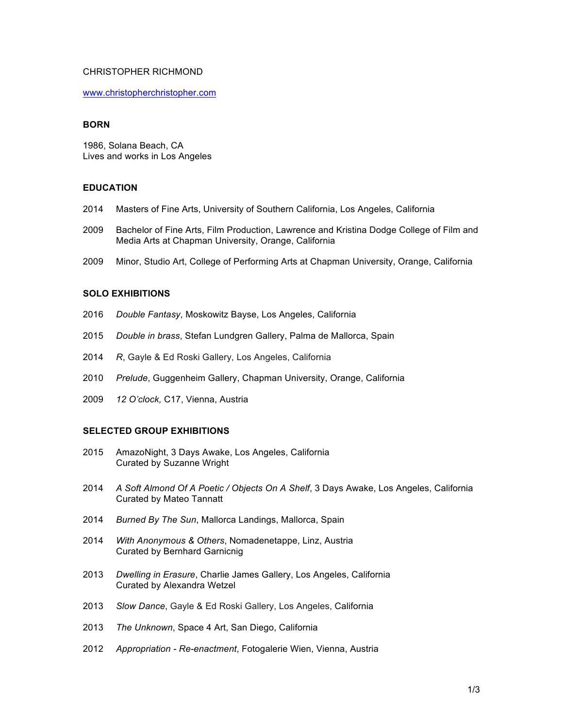## CHRISTOPHER RICHMOND

www.christopherchristopher.com

#### **BORN**

1986, Solana Beach, CA Lives and works in Los Angeles

# **EDUCATION**

- 2014 Masters of Fine Arts, University of Southern California, Los Angeles, California
- 2009 Bachelor of Fine Arts, Film Production, Lawrence and Kristina Dodge College of Film and Media Arts at Chapman University, Orange, California
- 2009 Minor, Studio Art, College of Performing Arts at Chapman University, Orange, California

## **SOLO EXHIBITIONS**

- 2016 *Double Fantasy*, Moskowitz Bayse, Los Angeles, California
- 2015 *Double in brass*, Stefan Lundgren Gallery, Palma de Mallorca, Spain
- 2014 *R*, Gayle & Ed Roski Gallery, Los Angeles, California
- 2010 *Prelude*, Guggenheim Gallery, Chapman University, Orange, California
- 2009 *12 O'clock,* C17, Vienna, Austria

## **SELECTED GROUP EXHIBITIONS**

- 2015 AmazoNight, 3 Days Awake, Los Angeles, California Curated by Suzanne Wright
- 2014 *A Soft Almond Of A Poetic / Objects On A Shelf*, 3 Days Awake, Los Angeles, California Curated by Mateo Tannatt
- 2014 *Burned By The Sun*, Mallorca Landings, Mallorca, Spain
- 2014 *With Anonymous & Others*, Nomadenetappe, Linz, Austria Curated by Bernhard Garnicnig
- 2013 *Dwelling in Erasure*, Charlie James Gallery, Los Angeles, California Curated by Alexandra Wetzel
- 2013 *Slow Dance*, Gayle & Ed Roski Gallery, Los Angeles, California
- 2013 *The Unknown*, Space 4 Art, San Diego, California
- 2012 *Appropriation Re-enactment*, Fotogalerie Wien, Vienna, Austria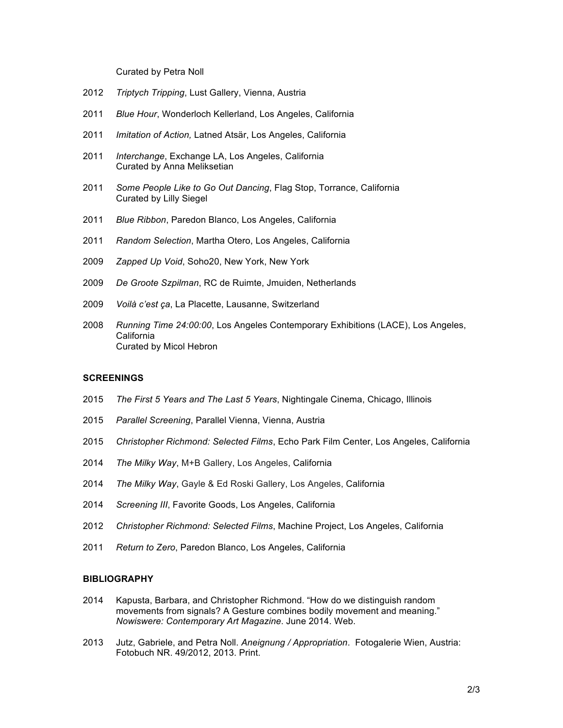Curated by Petra Noll

- *Triptych Tripping*, Lust Gallery, Vienna, Austria
- *Blue Hour*, Wonderloch Kellerland, Los Angeles, California
- *Imitation of Action,* Latned Atsär, Los Angeles, California
- *Interchange*, Exchange LA, Los Angeles, California Curated by Anna Meliksetian
- *Some People Like to Go Out Dancing*, Flag Stop, Torrance, California Curated by Lilly Siegel
- *Blue Ribbon*, Paredon Blanco, Los Angeles, California
- *Random Selection*, Martha Otero, Los Angeles, California
- *Zapped Up Void*, Soho20, New York, New York
- *De Groote Szpilman*, RC de Ruimte, Jmuiden, Netherlands
- *Voilà c'est ça*, La Placette, Lausanne, Switzerland
- *Running Time 24:00:00*, Los Angeles Contemporary Exhibitions (LACE), Los Angeles, California Curated by Micol Hebron

## **SCREENINGS**

- *The First 5 Years and The Last 5 Years*, Nightingale Cinema, Chicago, Illinois
- *Parallel Screening*, Parallel Vienna, Vienna, Austria
- *Christopher Richmond: Selected Films*, Echo Park Film Center, Los Angeles, California
- *The Milky Way*, M+B Gallery, Los Angeles, California
- *The Milky Way*, Gayle & Ed Roski Gallery, Los Angeles, California
- *Screening III*, Favorite Goods, Los Angeles, California
- *Christopher Richmond: Selected Films*, Machine Project, Los Angeles, California
- *Return to Zero*, Paredon Blanco, Los Angeles, California

#### **BIBLIOGRAPHY**

- Kapusta, Barbara, and Christopher Richmond. "How do we distinguish random movements from signals? A Gesture combines bodily movement and meaning." *Nowiswere: Contemporary Art Magazine*. June 2014. Web.
- Jutz, Gabriele, and Petra Noll. *Aneignung / Appropriation*. Fotogalerie Wien, Austria: Fotobuch NR. 49/2012, 2013. Print.